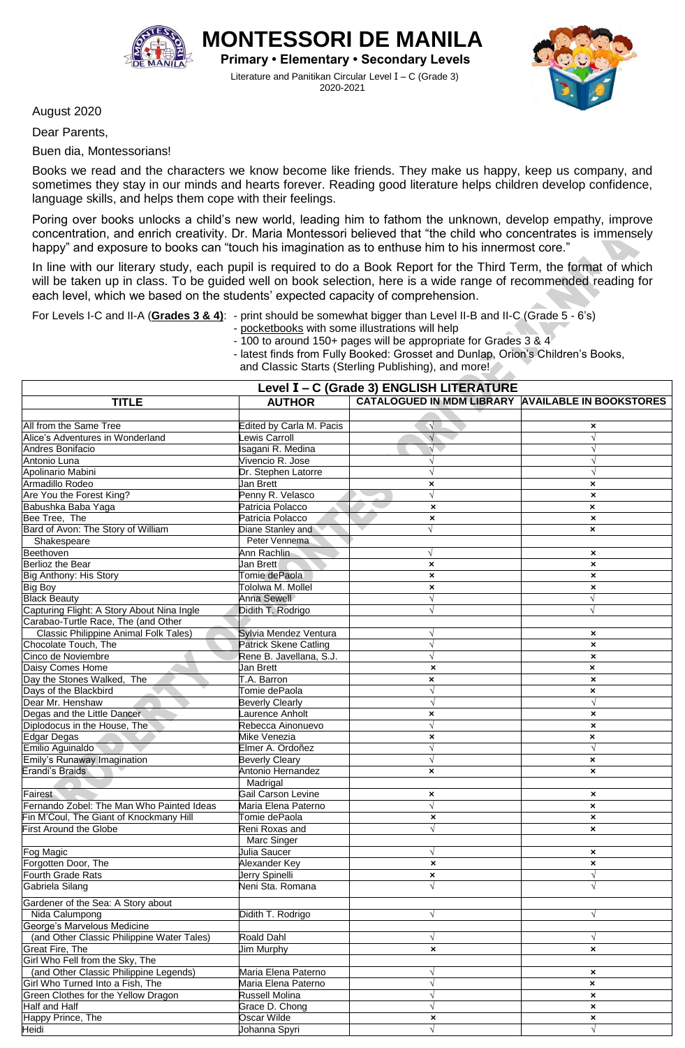

**IONTESSORI DE MANIL Primary • Elementary • Secondary Levels**

Literature and Panitikan Circular Level I – C (Grade 3) 2020-2021



August 2020

Dear Parents,

Buen dia, Montessorians!

Books we read and the characters we know become like friends. They make us happy, keep us company, and sometimes they stay in our minds and hearts forever. Reading good literature helps children develop confidence, language skills, and helps them cope with their feelings.

Poring over books unlocks a child's new world, leading him to fathom the unknown, develop empathy, improve concentration, and enrich creativity. Dr. Maria Montessori believed that "the child who concentrates is immensely happy" and exposure to books can "touch his imagination as to enthuse him to his innermost core."

In line with our literary study, each pupil is required to do a Book Report for the Third Term, the format of which will be taken up in class. To be guided well on book selection, here is a wide range of recommended reading for each level, which we based on the students' expected capacity of comprehension.

For Levels I-C and II-A (**Grades 3 & 4)**: - print should be somewhat bigger than Level II-B and II-C (Grade 5 - 6's)

- pocketbooks with some illustrations will help

- 100 to around 150+ pages will be appropriate for Grades 3 & 4

- latest finds from Fully Booked: Grosset and Dunlap, Orion's Children's Books,

and Classic Starts (Sterling Publishing), and more!

| Level I - C (Grade 3) ENGLISH LITERATURE                    |                               |                                                   |                           |  |  |
|-------------------------------------------------------------|-------------------------------|---------------------------------------------------|---------------------------|--|--|
| <b>TITLE</b>                                                | <b>AUTHOR</b>                 | CATALOGUED IN MDM LIBRARY AVAILABLE IN BOOKSTORES |                           |  |  |
|                                                             |                               |                                                   |                           |  |  |
| All from the Same Tree                                      | Edited by Carla M. Pacis      | $\sqrt{ }$                                        | ×                         |  |  |
| Alice's Adventures in Wonderland                            | ewis Carroll                  | $\sqrt{ }$                                        | $\sqrt{ }$                |  |  |
| Andres Bonifacio                                            | sagani R. Medina              | $\sqrt{}$                                         |                           |  |  |
| Antonio Luna                                                | Vivencio R. Jose              |                                                   | N                         |  |  |
| Apolinario Mabini                                           | Dr. Stephen Latorre           |                                                   | V                         |  |  |
| Armadillo Rodeo                                             | Jan Brett                     | ×                                                 | $\pmb{\times}$            |  |  |
| Are You the Forest King?                                    | Penny R. Velasco              | $\sqrt{}$                                         | $\pmb{\times}$            |  |  |
| Babushka Baba Yaga                                          | Patricia Polacco              | $\boldsymbol{\mathsf{x}}$                         | $\pmb{\times}$            |  |  |
| Bee Tree, The                                               | Patricia Polacco              | $\pmb{\times}$                                    | $\pmb{\times}$            |  |  |
| Bard of Avon: The Story of William                          | Diane Stanley and             |                                                   | ×                         |  |  |
| Shakespeare                                                 | Peter Vennema                 |                                                   |                           |  |  |
| Beethoven                                                   | Ann Rachlin                   |                                                   | $\pmb{\times}$            |  |  |
| Berlioz the Bear                                            | Jan Brett                     | ×                                                 | $\boldsymbol{\mathsf{x}}$ |  |  |
| Big Anthony: His Story                                      | Tomie dePaola                 | $\pmb{\times}$                                    | $\pmb{\times}$            |  |  |
| <b>Big Boy</b>                                              | Tololwa M. Mollel             | $\pmb{\times}$                                    | $\pmb{\times}$            |  |  |
| <b>Black Beauty</b>                                         | Anna Sewell                   | $\sqrt{}$                                         | $\sqrt{}$                 |  |  |
| Capturing Flight: A Story About Nina Ingle                  | Didith T. Rodrigo             |                                                   | $\sqrt{ }$                |  |  |
| Carabao-Turtle Race, The (and Other                         |                               |                                                   |                           |  |  |
| Classic Philippine Animal Folk Tales)                       | Sylvia Mendez Ventura         |                                                   | $\pmb{\times}$            |  |  |
| Chocolate Touch, The                                        | <b>Patrick Skene Catling</b>  |                                                   | $\boldsymbol{\mathsf{x}}$ |  |  |
| Cinco de Noviembre                                          | Rene B. Javellana, S.J.       |                                                   | $\pmb{\times}$            |  |  |
| Daisy Comes Home                                            | Jan Brett                     | $\boldsymbol{\mathsf{x}}$                         | $\pmb{\times}$            |  |  |
| Day the Stones Walked, The                                  | T.A. Barron                   | ×                                                 | $\pmb{\times}$            |  |  |
| Days of the Blackbird                                       | Tomie dePaola                 |                                                   | $\pmb{\times}$            |  |  |
| Dear Mr. Henshaw                                            | <b>Beverly Clearly</b>        |                                                   | $\sqrt{ }$                |  |  |
| Degas and the Little Dancer                                 | aurence Anholt                | ×                                                 | $\boldsymbol{\mathsf{x}}$ |  |  |
| Diplodocus in the House, The                                | Rebecca Ainonuevo             | $\sqrt{}$                                         | $\boldsymbol{\mathsf{x}}$ |  |  |
| <b>Edgar Degas</b>                                          | Mike Venezia                  | $\pmb{\times}$                                    | $\pmb{\times}$            |  |  |
| Emilio Aguinaldo                                            | Elmer A. Ordoñez              | $\sqrt{}$                                         | $\sqrt{ }$                |  |  |
| Emily's Runaway Imagination                                 | <b>Beverly Cleary</b>         |                                                   | ×                         |  |  |
| Erandi's Braids                                             | Antonio Hernandez             | ×                                                 | $\pmb{\times}$            |  |  |
|                                                             | Madrigal                      |                                                   |                           |  |  |
| Fairest                                                     | Gail Carson Levine            | ×                                                 | $\boldsymbol{\mathsf{x}}$ |  |  |
| Fernando Zobel: The Man Who Painted Ideas                   | Maria Elena Paterno           | $\sqrt{}$                                         | $\pmb{\times}$            |  |  |
| Fin M'Coul, The Giant of Knockmany Hill                     | Tomie dePaola                 | $\boldsymbol{\mathsf{x}}$                         | $\pmb{\times}$            |  |  |
| <b>First Around the Globe</b>                               | Reni Roxas and                | $\sqrt{ }$                                        | $\boldsymbol{\mathsf{x}}$ |  |  |
|                                                             | Marc Singer                   |                                                   |                           |  |  |
| Fog Magic                                                   | Julia Saucer                  | $\sqrt{ }$                                        | ×                         |  |  |
| Forgotten Door, The                                         | Alexander Key                 | $\boldsymbol{\mathsf{x}}$                         | $\pmb{\times}$            |  |  |
| Fourth Grade Rats                                           | Jerry Spinelli                | $\boldsymbol{\mathsf{x}}$                         |                           |  |  |
| Gabriela Silang                                             | Veni Sta. Romana              |                                                   |                           |  |  |
| Gardener of the Sea: A Story about                          |                               |                                                   |                           |  |  |
|                                                             | Didith T. Rodrigo             |                                                   |                           |  |  |
| Nida Calumpong<br>George's Marvelous Medicine               |                               | $\sqrt{ }$                                        | $\sqrt{}$                 |  |  |
| (and Other Classic Philippine Water Tales)                  | <b>Roald Dahl</b>             |                                                   | $\sqrt{ }$                |  |  |
| <b>Great Fire, The</b>                                      | <b>Jim Murphy</b>             | V                                                 |                           |  |  |
| Girl Who Fell from the Sky, The                             |                               | ×                                                 | $\pmb{\times}$            |  |  |
| (and Other Classic Philippine Legends)                      | Maria Elena Paterno           |                                                   |                           |  |  |
| Girl Who Turned Into a Fish, The                            |                               | V                                                 | ×                         |  |  |
|                                                             | Maria Elena Paterno           | $\sqrt{ }$<br>$\sqrt{}$                           | $\boldsymbol{\mathsf{x}}$ |  |  |
| Green Clothes for the Yellow Dragon<br><b>Half and Half</b> | Russell Molina                | $\sqrt{ }$                                        | $\pmb{\times}$            |  |  |
| Happy Prince, The                                           | Grace D. Chong<br>Oscar Wilde |                                                   | $\pmb{\times}$            |  |  |
| Heidi                                                       | Johanna Spyri                 | $\pmb{\times}$<br>$\sqrt{}$                       | ×                         |  |  |
|                                                             |                               |                                                   |                           |  |  |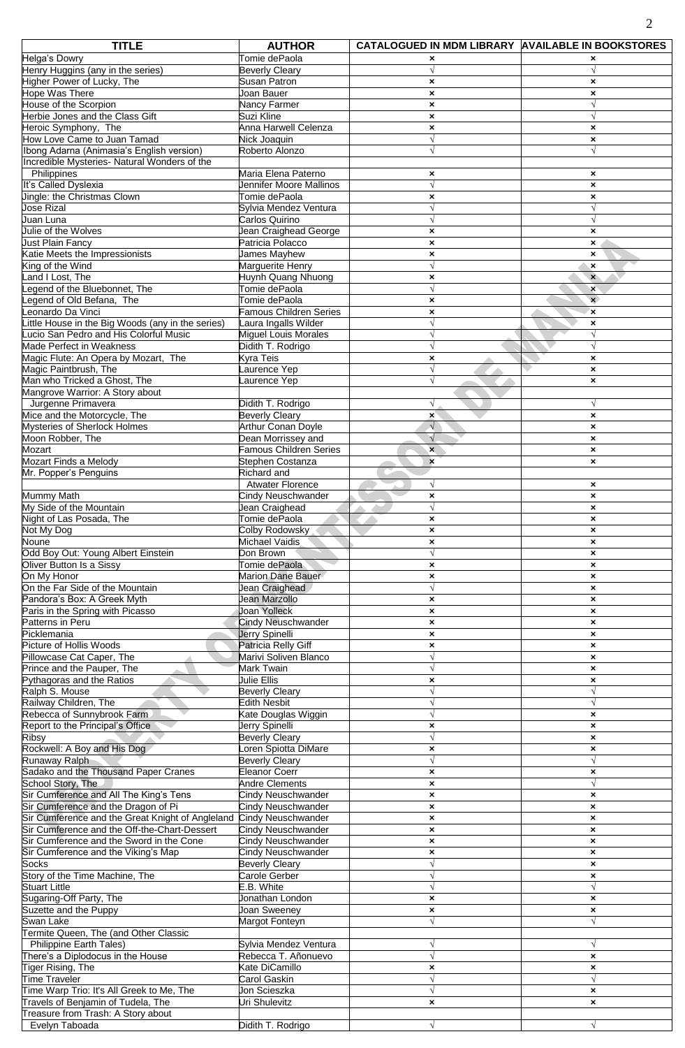| <b>TITLE</b>                                                  | <b>AUTHOR</b>                  | CATALOGUED IN MDM LIBRARY AVAILABLE IN BOOKSTORES |                                |
|---------------------------------------------------------------|--------------------------------|---------------------------------------------------|--------------------------------|
| Helga's Dowry                                                 | Tomie dePaola                  | ×                                                 |                                |
| Henry Huggins (any in the series)                             | <b>Beverly Cleary</b>          |                                                   |                                |
| Higher Power of Lucky, The                                    | <b>Susan Patron</b>            | $\boldsymbol{\mathsf{x}}$                         | $\boldsymbol{\mathsf{x}}$      |
| Hope Was There                                                | Joan Bauer                     | $\pmb{\times}$                                    | $\pmb{\times}$                 |
| House of the Scorpion                                         | Nancy Farmer                   | $\boldsymbol{\mathsf{x}}$                         | $\sqrt{ }$                     |
| Herbie Jones and the Class Gift                               | Suzi Kline                     | $\pmb{\times}$                                    | $\sqrt{ }$                     |
| Heroic Symphony, The                                          | Anna Harwell Celenza           | $\pmb{\times}$                                    | $\pmb{\times}$                 |
| How Love Came to Juan Tamad                                   | Nick Joaquin                   | $\sqrt{ }$                                        | $\boldsymbol{\mathsf{x}}$      |
| Ibong Adarna (Animasia's English version)                     | Roberto Alonzo                 | V                                                 | $\sqrt{ }$                     |
| Incredible Mysteries- Natural Wonders of the                  |                                |                                                   |                                |
| Philippines                                                   | Maria Elena Paterno            | ×                                                 | $\boldsymbol{\mathsf{x}}$      |
| It's Called Dyslexia                                          | Jennifer Moore Mallinos        | $\sqrt{}$                                         | ×                              |
| Jingle: the Christmas Clown                                   | Tomie dePaola                  | $\pmb{\times}$                                    | ×                              |
| Jose Rizal                                                    | Sylvia Mendez Ventura          |                                                   |                                |
| Juan Luna                                                     | Carlos Quirino                 | $\sqrt{}$                                         | $\sqrt{ }$                     |
| Julie of the Wolves                                           | Jean Craighead George          | $\boldsymbol{\mathsf{x}}$                         | $\boldsymbol{\mathsf{x}}$      |
| Just Plain Fancy                                              | Patricia Polacco               | $\boldsymbol{\mathsf{x}}$                         | $\boldsymbol{\mathsf{x}}$      |
| Katie Meets the Impressionists                                | James Mayhew                   | $\pmb{\times}$                                    | $\boldsymbol{\mathsf{x}}$      |
| King of the Wind                                              | Marguerite Henry               | $\sqrt{ }$                                        | $\boldsymbol{\mathsf{x}}$      |
| and I Lost, The                                               | Huynh Quang Nhuong             | $\pmb{\times}$                                    | $\mathbf{x}$                   |
| egend of the Bluebonnet, The                                  | Tomie dePaola                  |                                                   | ×                              |
| egend of Old Befana, The                                      | Tomie dePaola                  | $\boldsymbol{\mathsf{x}}$                         | $\mathbf{x}$                   |
| eonardo Da Vinci                                              | Famous Children Series         | ×                                                 | $\mathbf x$                    |
| little House in the Big Woods (any in the series)             | Laura Ingalls Wilder           | $\sqrt{}$                                         | ×                              |
| ucio San Pedro and His Colorful Music                         | <b>Miguel Louis Morales</b>    | $\sqrt{}$                                         | $\sqrt{ }$                     |
| Made Perfect in Weakness                                      |                                | $\sqrt{}$                                         | $\sqrt{ }$                     |
|                                                               | Didith T. Rodrigo<br>Kyra Teis |                                                   |                                |
| Magic Flute: An Opera by Mozart, The<br>Magic Paintbrush, The | Laurence Yep                   | $\pmb{\times}$                                    | ×<br>$\boldsymbol{\mathsf{x}}$ |
|                                                               |                                | $\sqrt{}$                                         |                                |
| Man who Tricked a Ghost, The                                  | Laurence Yep                   |                                                   | $\boldsymbol{\mathsf{x}}$      |
| Mangrove Warrior: A Story about                               |                                |                                                   |                                |
| Jurgenne Primavera                                            | Didith T. Rodrigo              | $\sqrt{}$                                         | $\sqrt{}$                      |
| Mice and the Motorcycle, The                                  | <b>Beverly Cleary</b>          | $\mathbf{x}$                                      | $\boldsymbol{\mathsf{x}}$      |
| Mysteries of Sherlock Holmes                                  | <b>Arthur Conan Doyle</b>      | $\sqrt{ }$                                        | ×                              |
| Moon Robber, The                                              | Dean Morrissey and             | $\sqrt{}$                                         | ×                              |
| Mozart                                                        | <b>Famous Children Series</b>  | $\overline{\mathbf{x}}$                           | $\boldsymbol{\mathsf{x}}$      |
| Mozart Finds a Melody                                         | Stephen Costanza               | $\mathbf{x}$                                      | $\boldsymbol{\mathsf{x}}$      |
| Mr. Popper's Penguins                                         | Richard and                    |                                                   |                                |
|                                                               | <b>Atwater Florence</b>        | $\sqrt{}$                                         | ×                              |
| <b>Mummy Math</b>                                             | Cindy Neuschwander             | $\boldsymbol{\mathsf{x}}$                         | $\boldsymbol{\mathsf{x}}$      |
| My Side of the Mountain                                       | Jean Craighead                 |                                                   | ×                              |
| Night of Las Posada, The                                      | Tomie dePaola                  | $\pmb{\times}$                                    | ×                              |
| Not My Dog                                                    | Colby Rodowsky                 | $\pmb{\times}$                                    | $\boldsymbol{\mathsf{x}}$      |
| Noune                                                         | Michael Vaidis                 | ×                                                 | $\mathbf{x}$                   |
| Odd Boy Out: Young Albert Einstein                            | Don Brown                      | $\sqrt{}$                                         | ×                              |
| Oliver Button Is a Sissy                                      | Tomie dePaola                  | ×                                                 | $\boldsymbol{\mathsf{x}}$      |
| On My Honor                                                   | Marion Dane Bauer              | $\pmb{\times}$                                    | $\boldsymbol{\mathsf{x}}$      |
| On the Far Side of the Mountain                               | Jean Craighead                 | $\sqrt{}$                                         | ×                              |
| Pandora's Box: A Greek Myth                                   | Jean Marzollo                  | ×                                                 | ×                              |
| Paris in the Spring with Picasso                              | <b>Joan Yolleck</b>            | $\boldsymbol{\mathsf{x}}$                         | $\boldsymbol{\mathsf{x}}$      |
| Patterns in Peru                                              | Cindy Neuschwander             | $\boldsymbol{\mathsf{x}}$                         | ×                              |
| Picklemania                                                   | Jerry Spinelli                 | $\pmb{\times}$                                    | ×                              |
| Picture of Hollis Woods                                       | Patricia Relly Giff            | $\pmb{\times}$                                    | ×                              |
| Pillowcase Cat Caper, The                                     | Marivi Soliven Blanco          |                                                   | $\boldsymbol{\mathsf{x}}$      |
| Prince and the Pauper, The                                    | Mark Twain                     |                                                   | ×                              |
| Pythagoras and the Ratios                                     | Julie Ellis                    | $\boldsymbol{\mathsf{x}}$                         | $\boldsymbol{\mathsf{x}}$      |
| Ralph S. Mouse                                                | <b>Beverly Cleary</b>          |                                                   |                                |
| Railway Children, The                                         | <b>Edith Nesbit</b>            |                                                   | $\sqrt{}$                      |
| Rebecca of Sunnybrook Farm.                                   | Kate Douglas Wiggin            | $\sqrt{}$                                         | $\boldsymbol{\mathsf{x}}$      |
| Report to the Principal's Office                              | Jerry Spinelli                 | $\pmb{\times}$                                    | ×                              |
| Ribsy                                                         | <b>Beverly Cleary</b>          | $\sqrt{ }$                                        | $\boldsymbol{\mathsf{x}}$      |
| Rockwell: A Boy and His Dog                                   | Loren Spiotta DiMare           | $\boldsymbol{\mathsf{x}}$                         | $\boldsymbol{\mathsf{x}}$      |
| Runaway Ralph                                                 | <b>Beverly Cleary</b>          | $\sqrt{}$                                         | $\sqrt{ }$                     |
| Sadako and the Thousand Paper Cranes                          | <b>Eleanor Coerr</b>           | $\pmb{\times}$                                    | ×                              |
| School Story, The                                             | <b>Andre Clements</b>          | $\boldsymbol{\mathsf{x}}$                         | $\sqrt{ }$                     |
| Sir Cumference and All The King's Tens                        | Cindy Neuschwander             | $\pmb{\times}$                                    | ×                              |
| Sir Cumference and the Dragon of Pi                           | Cindy Neuschwander             | $\pmb{\times}$                                    | $\pmb{\times}$                 |
| Sir Cumference and the Great Knight of Angleland              | Cindy Neuschwander             | $\boldsymbol{\mathsf{x}}$                         | $\pmb{\times}$                 |
| Sir Cumference and the Off-the-Chart-Dessert                  | Cindy Neuschwander             | $\boldsymbol{\mathsf{x}}$                         | ×                              |
| Sir Cumference and the Sword in the Cone                      | Cindy Neuschwander             | $\boldsymbol{\mathsf{x}}$                         | $\boldsymbol{\mathsf{x}}$      |
| Sir Cumference and the Viking's Map                           | Cindy Neuschwander             | ×                                                 | $\boldsymbol{\mathsf{x}}$      |
| <b>Socks</b>                                                  | <b>Beverly Cleary</b>          | $\sqrt{}$                                         | ×                              |
| Story of the Time Machine, The                                | Carole Gerber                  | $\sqrt{}$                                         | ×                              |
| <b>Stuart Little</b>                                          | E.B. White                     |                                                   |                                |
| Sugaring-Off Party, The                                       | Jonathan London                | $\boldsymbol{\mathsf{x}}$                         | ×                              |
| Suzette and the Puppy                                         | Joan Sweeney                   | ×                                                 | $\boldsymbol{\mathsf{x}}$      |
| Swan Lake                                                     | Margot Fonteyn                 | $\sqrt{}$                                         | $\sqrt{ }$                     |
| Termite Queen, The (and Other Classic                         |                                |                                                   |                                |
| <b>Philippine Earth Tales)</b>                                | Sylvia Mendez Ventura          | $\sqrt{}$                                         | $\sqrt{}$                      |
| There's a Diplodocus in the House                             | Rebecca T. Añonuevo            | $\sqrt{ }$                                        | ×                              |
| Tiger Rising, The                                             | Kate DiCamillo                 | ×                                                 | ×                              |
| Time Traveler                                                 | Carol Gaskin                   | $\sqrt{ }$                                        | $\sqrt{ }$                     |
| Time Warp Trio: It's All Greek to Me, The                     | Jon Scieszka                   | V                                                 | ×                              |
| Travels of Benjamin of Tudela, The                            | Uri Shulevitz                  | $\boldsymbol{\mathsf{x}}$                         | $\boldsymbol{\mathsf{x}}$      |
| Treasure from Trash: A Story about                            |                                |                                                   |                                |
| Evelyn Taboada                                                | Didith T. Rodrigo              | $\sqrt{}$                                         | $\sqrt{}$                      |
|                                                               |                                |                                                   |                                |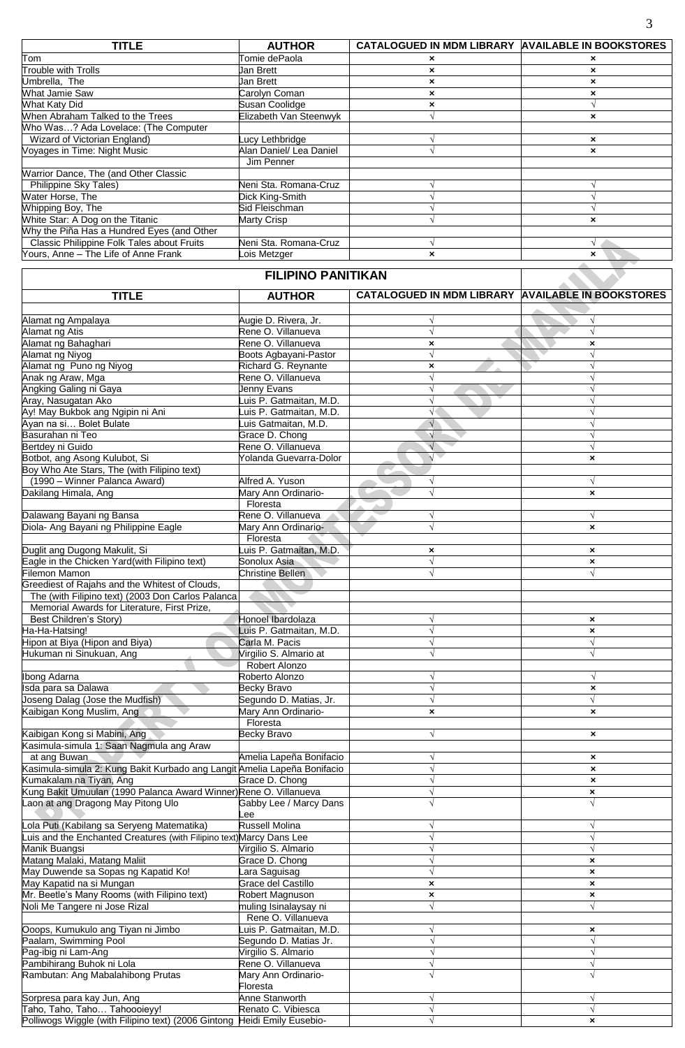| <b>TITLE</b>                               | <b>AUTHOR</b>           | CATALOGUED IN MDM LIBRARY AVAILABLE IN BOOKSTORES |                           |
|--------------------------------------------|-------------------------|---------------------------------------------------|---------------------------|
| Tom                                        | Tomie dePaola           | ×                                                 | ×                         |
| <b>Trouble with Trolls</b>                 | Jan Brett               | ×                                                 | ×                         |
| Umbrella, The                              | Jan Brett               | ×                                                 | ×                         |
| <b>What Jamie Saw</b>                      | Carolyn Coman           | $\boldsymbol{\mathsf{x}}$                         | ×                         |
| What Katy Did                              | Susan Coolidge          | ×                                                 |                           |
| When Abraham Talked to the Trees           | Elizabeth Van Steenwyk  |                                                   | ×                         |
| Who Was? Ada Lovelace: (The Computer       |                         |                                                   |                           |
| Wizard of Victorian England)               | Lucy Lethbridge         |                                                   | ×                         |
| Voyages in Time: Night Music               | Alan Daniel/ Lea Daniel |                                                   | $\boldsymbol{\mathsf{x}}$ |
|                                            | Jim Penner              |                                                   |                           |
| Warrior Dance, The (and Other Classic      |                         |                                                   |                           |
| Philippine Sky Tales)                      | Neni Sta. Romana-Cruz   |                                                   |                           |
| Water Horse, The                           | Dick King-Smith         |                                                   |                           |
| Whipping Boy, The                          | Sid Fleischman          |                                                   |                           |
| White Star: A Dog on the Titanic           | Marty Crisp             |                                                   |                           |
| Why the Piña Has a Hundred Eyes (and Other |                         |                                                   |                           |
| Classic Philippine Folk Tales about Fruits | Neni Sta. Romana-Cruz   |                                                   |                           |
| Yours, Anne - The Life of Anne Frank       | Lois Metzger            | ×                                                 | ×                         |

## **FILIPINO PANITIKAN TITLE AUTHOR CATALOGUED IN MDM LIBRARY AVAILABLE IN BOOKSTORES** Alamat ng Ampalaya Augie D. Rivera, Jr. **√ √** Alamat ng Atis Rene O. Villanueva **√ √** Alamat ng Bahaghari **XXIII ng Panaghari Parang Alamat ng Rene O. Villanueva XXIII ng Parang Alamat ng Niyog XXIII ng Parang Alamat ng Niyog XXIII ng Parang Alamat ng Niyog X** Alamat ng Niyog Boots Agbayani-Pastor **√ √** Alamat ng Puno ng Niyog Richard G. Reynante **× √** Anak ng Araw, Mga Rene O. Villanueva **√ √** Angking Galing ni Gaya Jenny Evans **√ √** Aray, Nasugatan Ako Luis P. Gatmaitan, M.D. **√ √** Ay! May Bukbok ang Ngipin ni Ani Luis P. Gatmaitan, M.D. **√ √** Ayan na si… Bolet Bulate Luis Gatmaitan, M.D. **√ √** Basurahan ni Teo Grace D. Chong **√ √** Bertdey ni Guido Rene O. Villanueva **√ √** Botbot, ang Asong Kulubot, Si Yolanda Guevarra-Dolor **√ ×** Boy Who Ate Stars, The (with Filipino text) (1990 – Winner Palanca Award) **Alfred A. Yuson**<br>
akilang Himala, Ang *Mary Ann Ordinario* Dakilang Himala, Ang Mary Ann Ordinario- **√ ×** Floresta Dalawang Bayani ng Bansa Rene O. Villanueva **√ √** Diola- Ang Bayani ng Philippine Eagle Mary Ann Ordinario- **√ ×** Floresta Duglit ang Dugong Makulit, Si Luis P. Gatmaitan, M.D. **× ×** Eagle in the Chicken Yard(with Filipino text) Sonolux Asia **√ ×** Filemon Mamon Christine Bellen **√ √** Greediest of Rajahs and the Whitest of Clouds, The (with Filipino text) (2003 Don Carlos Palanca Memorial Awards for Literature, First Prize, Best Children's Story) Honoel Ibardolaza **√ ×** Ha-Ha-Hatsing! Luis P. Gatmaitan, M.D. **√ ×** Hipon at Biya (Hipon and Biya) Carla M. Pacis **√ √ Hukuman ni Sinukuan, Ang**  Robert Alonzo Ibong Adarna Roberto Alonzo **√ √** Isda para sa Dalawa Becky Bravo **√ ×** Joseng Dalag (Jose the Mudfish) Segundo D. Matias, Jr. **√ √** Kaibigan Kong Muslim, Ang Mary Ann Ordinario- **× ×** Floresta Kaibigan Kong si Mabini, Ang Becky Bravo **√ ×** Kasimula-simula 1: Saan Nagmula ang Araw at ang Buwan Amelia Lapeña Bonifacio **√ ×** Kasimula-simula 2: Kung Bakit Kurbado ang Langit Amelia Lapeña Bonifacio **√ ×** Kumakalam na Tiyan, Ang Grace D. Chong **√ ×** Kung Bakit Umuulan (1990 Palanca Award Winner)Rene O. Villanueva **√ ×** Laon at ang Dragong May Pitong Ulo **Gabby Lee / Marcy Dans** Lee  **√ √** Lola Puti (Kabilang sa Seryeng Matematika) Russell Molina **√ √** Luis and the Enchanted Creatures (with Filipino text)Marcy Dans Lee **√ √** Manik Buangsi Virgilio S. Almario **√ √** Matang Malaki, Matang Maliit Grace D. Chong **√ ×** May Duwende sa Sopas ng Kapatid Ko! Lara Saguisag **√ ×** May Kapatid na si Mungan Grace del Castillo **× ×** Mr. Beetle's Many Rooms (with Filipino text) Robert Magnuson **× ×** Noli Me Tangere ni Jose Rizal muling Isinalaysay ni **√ √** Rene O. Villanueva<br>
uis P. Gatmaitan, M.D. Ooops, Kumukulo ang Tiyan ni Jimbo Luis P. Gatmaitan, M.D. **√ ×** Paalam, Swimming Pool Segundo D. Matias Jr. **√ √** Pag-ibig ni Lam-Ang Virgilio S. Almario **√ √** Pambihirang Buhok ni Lola Rene O. Villanueva **√ √** Rambutan: Ang Mabalahibong Prutas **Mary Ann Ordinario-**Floresta  **√ √**

Sorpresa para kay Jun, Ang Anne Stanworth **√ √** Taho, Taho, Taho… Tahoooieyy! Renato C. Vibiesca **√ √** Polliwogs Wiggle (with Filipino text) (2006 Gintong Heidi Emily Eusebio- **√ ×**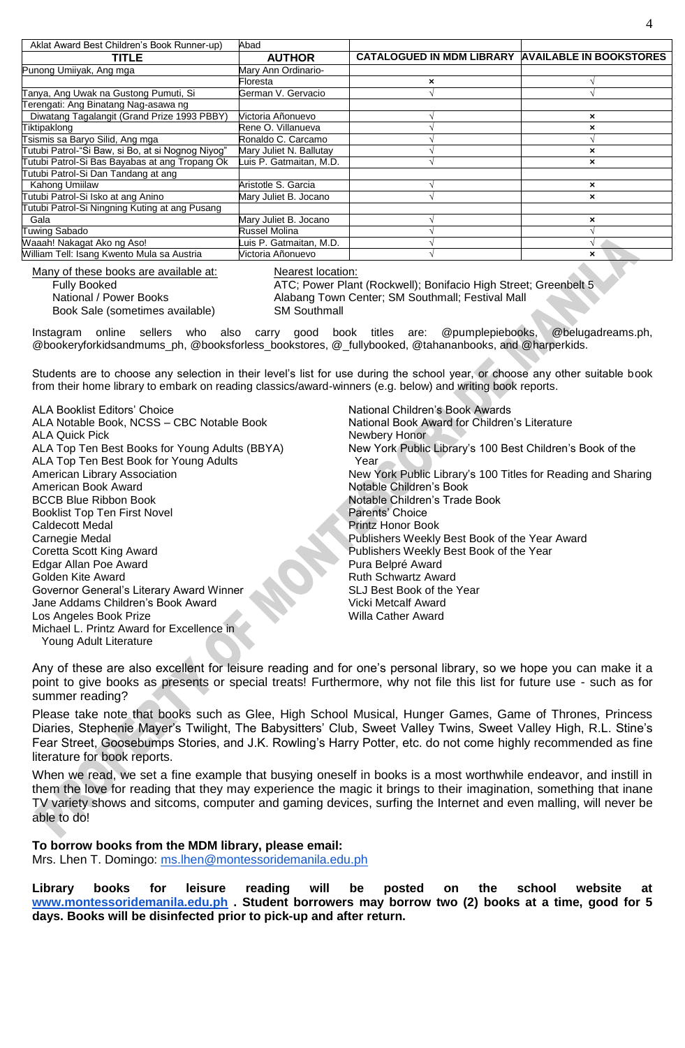| Aklat Award Best Children's Book Runner-up)       | Abad                    |                                                          |                           |
|---------------------------------------------------|-------------------------|----------------------------------------------------------|---------------------------|
| <b>TITLE</b>                                      | <b>AUTHOR</b>           | <b>CATALOGUED IN MDM LIBRARY AVAILABLE IN BOOKSTORES</b> |                           |
| Punong Umiiyak, Ang mga                           | Mary Ann Ordinario-     |                                                          |                           |
|                                                   | Floresta                | ×                                                        |                           |
| Tanya, Ang Uwak na Gustong Pumuti, Si             | German V. Gervacio      |                                                          |                           |
| Terengati: Ang Binatang Nag-asawa ng              |                         |                                                          |                           |
| Diwatang Tagalangit (Grand Prize 1993 PBBY)       | Victoria Añonuevo       |                                                          | ×                         |
| Tiktipaklong                                      | Rene O. Villanueva      |                                                          | ×                         |
| Tsismis sa Baryo Silid, Ang mga                   | Ronaldo C. Carcamo      |                                                          |                           |
| Tutubi Patrol-"Si Baw, si Bo, at si Nognog Niyog" | Mary Juliet N. Ballutay |                                                          | ×                         |
| Tutubi Patrol-Si Bas Bayabas at ang Tropang Ok    | Luis P. Gatmaitan, M.D. |                                                          | ×                         |
| Tutubi Patrol-Si Dan Tandang at ang               |                         |                                                          |                           |
| Kahong Umiilaw                                    | Aristotle S. Garcia     |                                                          | ×                         |
| Tutubi Patrol-Si Isko at ang Anino                | Mary Juliet B. Jocano   |                                                          | $\boldsymbol{\mathsf{x}}$ |
| Tutubi Patrol-Si Ningning Kuting at ang Pusang    |                         |                                                          |                           |
| Gala                                              | Mary Juliet B. Jocano   |                                                          | ×                         |
| <b>Tuwing Sabado</b>                              | <b>Russel Molina</b>    |                                                          |                           |
| Waaah! Nakagat Ako ng Aso!                        | Luis P. Gatmaitan, M.D. |                                                          |                           |
| William Tell: Isang Kwento Mula sa Austria        | Victoria Añonuevo       |                                                          | ×                         |

Many of these books are available at: Nearest location:

Book Sale (sometimes available) SM Southmall

Fully Booked **ATC; Power Plant (Rockwell)**; Bonifacio High Street; Greenbelt 5 National / Power Books Alabang Town Center; SM Southmall; Festival Mall

Instagram online sellers who also carry good book titles are: @pumplepiebooks, @belugadreams.ph, @bookeryforkidsandmums\_ph, @booksforless\_bookstores, @\_fullybooked, @tahananbooks, and @harperkids.

Students are to choose any selection in their level's list for use during the school year, or choose any other suitable book from their home library to embark on reading classics/award-winners (e.g. below) and writing book reports.

ALA Booklist Editors' Choice National Children's Book Awards ALA Notable Book, NCSS – CBC Notable Book National Book Award for Children's Literature ALA Quick Pick Newbery Honor ALA Top Ten Best Book for Young Adults **Year** American Book Award **Notable Children's Book**<br>
BCCB Blue Ribbon Book **Notable Children's Trade** Booklist Top Ten First Novel **Parents' Choice** Parents' Choice **Caldecott Medal Printz Honor Book** Carnegie Medal Publishers Weekly Best Book of the Year Award Coretta Scott King Award Publishers Weekly Best Book of the Year Edgar Allan Poe Award Pura Belpré Award Golden Kite Award **Ruth Schwartz Award Ruth Schwartz Award** Governor General's Literary Award Winner SLJ Best Book of the Year Jane Addams Children's Book Award Vicki Metcalf Award Vicki Metcalf Award Vicki Metcalf Award Vicki Metcalf Award Vicki Metcalf Award Vicki Metcalf Award Vicki Metcalf Award Vicki Metcalf Award Vicki Metcalf Award Vicki Me Los Angeles Book Prize Michael L. Printz Award for Excellence in Young Adult Literature

ALA Top Ten Best Books for Young Adults (BBYA) New York Public Library's 100 Best Children's Book of the American Library Association New York Public Library's 100 Titles for Reading and Sharing Notable Children's Trade Book

Any of these are also excellent for leisure reading and for one's personal library, so we hope you can make it a point to give books as presents or special treats! Furthermore, why not file this list for future use - such as for summer reading?

Please take note that books such as Glee, High School Musical, Hunger Games, Game of Thrones, Princess Diaries, Stephenie Mayer's Twilight, The Babysitters' Club, Sweet Valley Twins, Sweet Valley High, R.L. Stine's Fear Street, Goosebumps Stories, and J.K. Rowling's Harry Potter, etc. do not come highly recommended as fine literature for book reports.

When we read, we set a fine example that busying oneself in books is a most worthwhile endeavor, and instill in them the love for reading that they may experience the magic it brings to their imagination, something that inane TV variety shows and sitcoms, computer and gaming devices, surfing the Internet and even malling, will never be able to do!

## **To borrow books from the MDM library, please email:**

Mrs. Lhen T. Domingo: [ms.lhen@montessoridemanila.edu.ph](mailto:ms.lhen@montessoridemanila.edu.ph)

**Library books for leisure reading will be posted on the school website at [www.montessoridemanila.edu.ph](http://www.montessoridemanila.edu.ph/) . Student borrowers may borrow two (2) books at a time, good for 5 days. Books will be disinfected prior to pick-up and after return.**